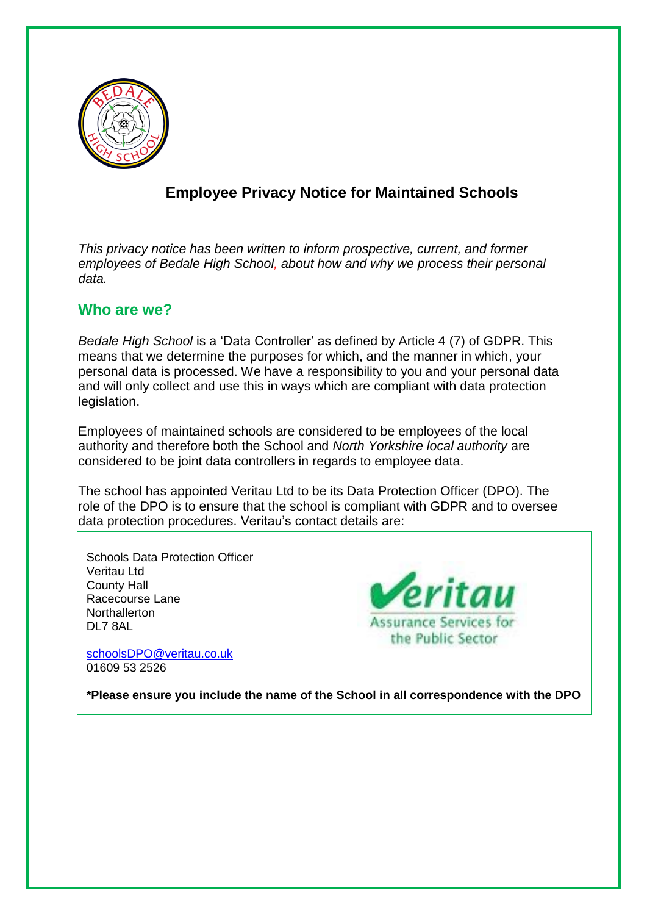

# **Employee Privacy Notice for Maintained Schools**

*This privacy notice has been written to inform prospective, current, and former employees of Bedale High School, about how and why we process their personal data.*

#### **Who are we?**

*Bedale High School* is a 'Data Controller' as defined by Article 4 (7) of GDPR. This means that we determine the purposes for which, and the manner in which, your personal data is processed. We have a responsibility to you and your personal data and will only collect and use this in ways which are compliant with data protection legislation.

Employees of maintained schools are considered to be employees of the local authority and therefore both the School and *North Yorkshire local authority* are considered to be joint data controllers in regards to employee data.

The school has appointed Veritau Ltd to be its Data Protection Officer (DPO). The role of the DPO is to ensure that the school is compliant with GDPR and to oversee data protection procedures. Veritau's contact details are:

Schools Data Protection Officer Veritau Ltd County Hall Racecourse Lane **Northallerton** DL7 8AL

[schoolsDPO@veritau.co.uk](mailto:schoolsDPO@veritau.co.uk) 01609 53 2526



**\*Please ensure you include the name of the School in all correspondence with the DPO**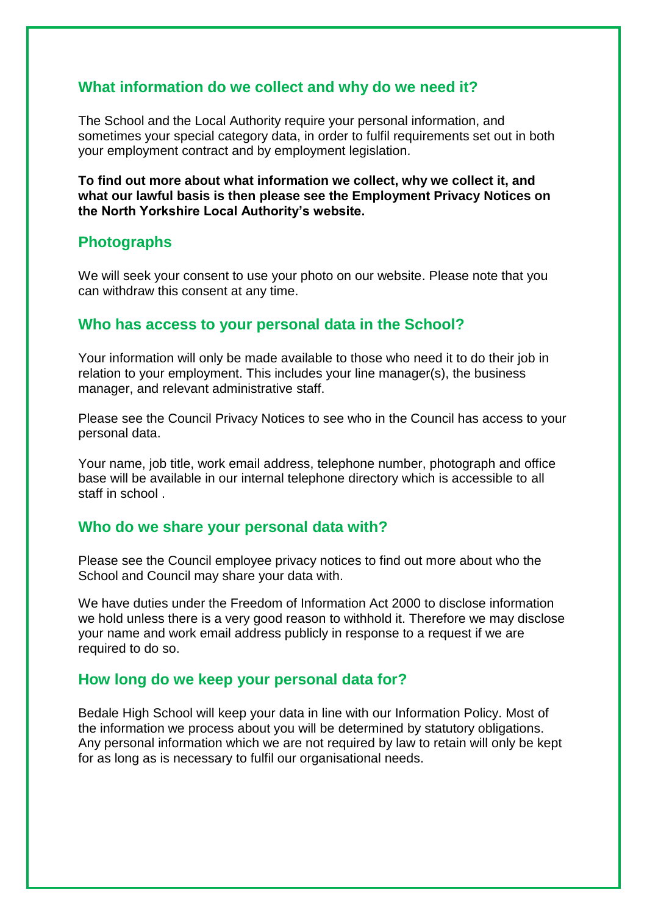## **What information do we collect and why do we need it?**

The School and the Local Authority require your personal information, and sometimes your special category data, in order to fulfil requirements set out in both your employment contract and by employment legislation.

**To find out more about what information we collect, why we collect it, and what our lawful basis is then please see the Employment Privacy Notices on the North Yorkshire Local Authority's website.**

# **Photographs**

We will seek your consent to use your photo on our website. Please note that you can withdraw this consent at any time.

#### **Who has access to your personal data in the School?**

Your information will only be made available to those who need it to do their job in relation to your employment. This includes your line manager(s), the business manager, and relevant administrative staff.

Please see the Council Privacy Notices to see who in the Council has access to your personal data.

Your name, job title, work email address, telephone number, photograph and office base will be available in our internal telephone directory which is accessible to all staff in school .

#### **Who do we share your personal data with?**

Please see the Council employee privacy notices to find out more about who the School and Council may share your data with.

We have duties under the Freedom of Information Act 2000 to disclose information we hold unless there is a very good reason to withhold it. Therefore we may disclose your name and work email address publicly in response to a request if we are required to do so.

#### **How long do we keep your personal data for?**

Bedale High School will keep your data in line with our Information Policy. Most of the information we process about you will be determined by statutory obligations. Any personal information which we are not required by law to retain will only be kept for as long as is necessary to fulfil our organisational needs.